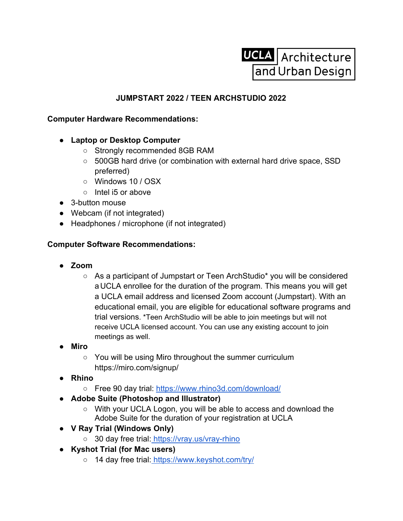

## **JUMPSTART 2022 / TEEN ARCHSTUDIO 2022**

## **Computer Hardware Recommendations:**

- **● Laptop or Desktop Computer**
	- Strongly recommended 8GB RAM
	- 500GB hard drive (or combination with external hard drive space, SSD preferred)
	- Windows 10 / OSX
	- Intel i5 or above
- 3-button mouse
- Webcam (if not integrated)
- Headphones / microphone (if not integrated)

## **Computer Software Recommendations:**

- **● Zoom**
	- As a participant of Jumpstart or Teen ArchStudio\* you will be considered a UCLA enrollee for the duration of the program. This means you will get a UCLA email address and licensed Zoom account (Jumpstart). With an educational email, you are eligible for educational software programs and trial versions. \*Teen ArchStudio will be able to join meetings but will not receive UCLA licensed account. You can use any existing account to join meetings as well.
- **● Miro**
	- **○** You will be using Miro throughout the summer curriculum https://miro.com/signup/
- **● Rhino**
	- **○** Free 90 day trial: https://www.rhino3d.com/download/
- **● Adobe Suite (Photoshop and Illustrator)**
	- **○** With your UCLA Logon, you will be able to access and download the Adobe Suite for the duration of your registration at UCLA
- **● V Ray Trial (Windows Only)**
	- **○** 30 day free trial: https://vray.us/vray-rhino
- **● Kyshot Trial (for Mac users)**
	- **○** 14 day free trial: https://www.keyshot.com/try/